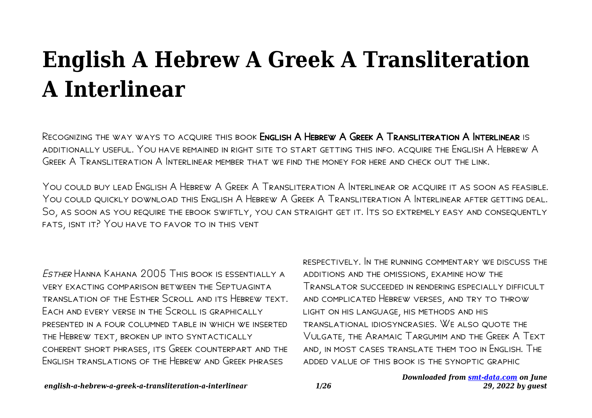# **English A Hebrew A Greek A Transliteration A Interlinear**

Recognizing the way ways to acquire this book English A Hebrew A Greek A Transliteration A Interlinear is additionally useful. You have remained in right site to start getting this info. acquire the English A Hebrew A Greek A Transliteration A Interlinear member that we find the money for here and check out the link.

You could buy lead English A Hebrew A Greek A Transliteration A Interlinear or acquire it as soon as feasible. You could quickly download this English A Hebrew A Greek A Transliteration A Interlinear after getting deal. So, as soon as you require the ebook swiftly, you can straight get it. Its so extremely easy and consequently fats, isnt it? You have to favor to in this vent

Esther Hanna Kahana 2005 This book is essentially a very exacting comparison between the Septuaginta translation of the Esther Scroll and its Hebrew text. Each and every verse in the Scroll is graphically presented in a four columned table in which we inserted the Hebrew text, broken up into syntactically coherent short phrases, its Greek counterpart and the English translations of the Hebrew and Greek phrases

respectively. In the running commentary we discuss the additions and the omissions, examine how the Translator succeeded in rendering especially difficult and complicated Hebrew verses, and try to throw light on his language, his methods and his translational idiosyncrasies. We also quote the Vulgate, the Aramaic Targumim and the Greek A Text and, in most cases translate them too in English. The added value of this book is the synoptic graphic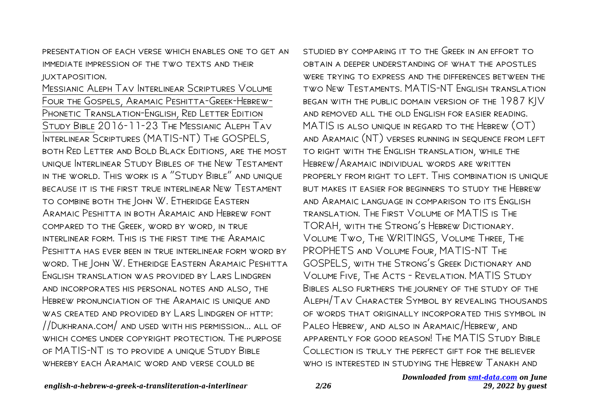presentation of each verse which enables one to get an immediate impression of the two texts and their juxtaposition.

Messianic Aleph Tav Interlinear Scriptures Volume Four the Gospels, Aramaic Peshitta-Greek-Hebrew-PHONETIC TRANSLATION-ENGLISH, RED LETTER EDITION Study Bible 2016-11-23 The Messianic Aleph Tav Interlinear Scriptures (MATIS-NT) The GOSPELS, both Red Letter and Bold Black Editions, are the most unique Interlinear Study Bibles of the New Testament in the world. This work is a "Study Bible" and unique because it is the first true interlinear New Testament to combine both the John W. Etheridge Eastern Aramaic Peshitta in both Aramaic and Hebrew font compared to the Greek, word by word, in true interlinear form. This is the first time the Aramaic Peshitta has ever been in true interlinear form word by word. The John W. Etheridge Eastern Aramaic Peshitta English translation was provided by Lars Lindgren and incorporates his personal notes and also, the Hebrew pronunciation of the Aramaic is unique and was created and provided by Lars Lindgren of http: //Dukhrana.com/ and used with his permission... all of which comes under copyright protection. The purpose of MATIS-NT is to provide a unique Study Bible whereby each Aramaic word and verse could be

studied by comparing it to the Greek in an effort to obtain a deeper understanding of what the apostles were trying to express and the differences between the two New Testaments. MATIS-NT English translation began with the public domain version of the 1987 KJV and removed all the old English for easier reading. MATIS is also unique in regard to the Hebrew (OT) and Aramaic (NT) verses running in sequence from left to right with the English translation, while the Hebrew/Aramaic individual words are written properly from right to left. This combination is unique but makes it easier for beginners to study the Hebrew and Aramaic language in comparison to its English translation. The First Volume of MATIS is The TORAH, with the Strong's Hebrew Dictionary. Volume Two, The WRITINGS, Volume Three, The PROPHETS and Volume Four, MATIS-NT The GOSPELS, with the Strong's Greek Dictionary and Volume Five, The Acts - Revelation. MATIS Study Bibles also furthers the journey of the study of the Aleph/Tav Character Symbol by revealing thousands of words that originally incorporated this symbol in Paleo Hebrew, and also in Aramaic/Hebrew, and apparently for good reason! The MATIS Study Bible Collection is truly the perfect gift for the believer who is interested in studying the Hebrew Tanakh and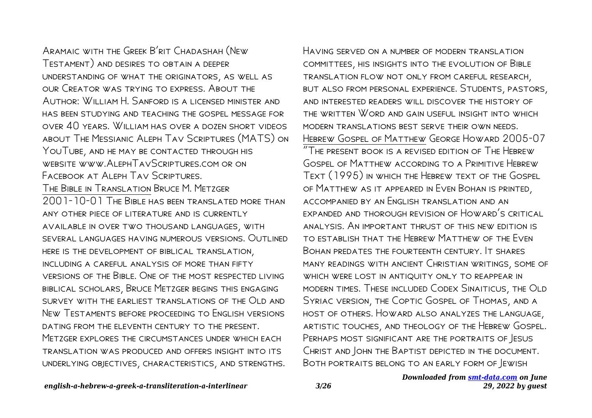Aramaic with the Greek B'rit Chadashah (New Testament) and desires to obtain a deeper understanding of what the originators, as well as our Creator was trying to express. About the Author: William H. Sanford is a licensed minister and has been studying and teaching the gospel message for over 40 years. William has over a dozen short videos about The Messianic Aleph Tav Scriptures (MATS) on YOUTUBE, AND HE MAY BE CONTACTED THROUGH HIS website www.AlephTavScriptures.com or on FACEBOOK AT ALEPH TAV SCRIPTURES. The Bible in Translation Bruce M. Metzger 2001-10-01 The Bible has been translated more than any other piece of literature and is currently available in over two thousand languages, with several languages having numerous versions. Outlined here is the development of biblical translation, INCLUDING A CARFEUL ANALYSIS OF MORE THAN FIFTY versions of the Bible. One of the most respected living biblical scholars, Bruce Metzger begins this engaging survey with the earliest translations of the Old and New Testaments before proceeding to English versions dating from the eleventh century to the present. METZGER EXPLORES THE CIRCUMSTANCES UNDER WHICH FACH translation was produced and offers insight into its underlying objectives, characteristics, and strengths.

*Downloaded from [smt-data.com](http://smt-data.com) on June* Having served on a number of modern translation committees, his insights into the evolution of Bible translation flow not only from careful research, but also from personal experience. Students, pastors, and interested readers will discover the history of the written Word and gain useful insight into which modern translations best serve their own needs. Hebrew Gospel of Matthew George Howard 2005-07 "The present book is a revised edition of The Hebrew Gospel of Matthew according to a Primitive Hebrew Text (1995) in which the Hebrew text of the Gospel of Matthew as it appeared in Even Bohan is printed, accompanied by an English translation and an expanded and thorough revision of Howard's critical analysis. An important thrust of this new edition is to establish that the Hebrew Matthew of the Even Bohan predates the fourteenth century. It shares many readings with ancient Christian writings, some of WHICH WERE LOST IN ANTIQUITY ONLY TO REAPPEAR IN modern times. These included Codex Sinaiticus, the Old Syriac version, the Coptic Gospel of Thomas, and a host of others. Howard also analyzes the language, artistic touches, and theology of the Hebrew Gospel. PERHAPS MOST SIGNIFICANT ARE THE PORTRAITS OF JESUS Christ and John the Baptist depicted in the document. Both portraits belong to an early form of Jewish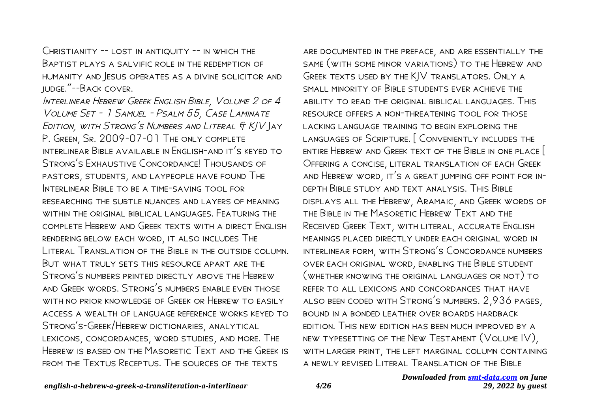CHRISTIANITY -- LOST IN ANTIQUITY -- IN WHICH THE Baptist plays a salvific role in the redemption of humanity and Jesus operates as a divine solicitor and judge."--Back cover.

Interlinear Hebrew Greek English Bible, Volume 2 of 4 Volume Set - 1 Samuel - Psalm 55, Case Laminate EDITION, WITH STRONG'S NUMBERS AND LITERAL  $f K/V$  AY P. GREEN, SR. 2009-07-01 THE ONLY COMPLETE interlinear Bible available in English-and it's keyed to Strong's Exhaustive Concordance! Thousands of pastors, students, and laypeople have found The INTERLINEAR BIBLE TO BE A TIME-SAVING TOOL FOR researching the subtle nuances and layers of meaning within the original biblical languages. Featuring the complete Hebrew and Greek texts with a direct English rendering below each word, it also includes The Literal Translation of the Bible in the outside column. But what truly sets this resource apart are the Strong's numbers printed directly above the Hebrew and Greek words. Strong's numbers enable even those WITH NO PRIOR KNOWLEDGE OF GREEK OR HEBREW TO FASILY access a wealth of language reference works keyed to Strong's-Greek/Hebrew dictionaries, analytical lexicons, concordances, word studies, and more. The HEBREW IS BASED ON THE MASORETIC TEXT AND THE GREEK IS from the Textus Receptus. The sources of the texts

are documented in the preface, and are essentially the same (with some minor variations) to the Hebrew and Greek texts used by the KJV translators. Only a small minority of Bible students ever achieve the ability to read the original biblical languages. This resource offers a non-threatening tool for those lacking language training to begin exploring the languages of Scripture. [ Conveniently includes the entire Hebrew and Greek text of the Bible in one place [ Offering a concise, literal translation of each Greek and Hebrew word, it's a great jumping off point for indepth Bible study and text analysis. This Bible displays all the Hebrew, Aramaic, and Greek words of the Bible in the Masoretic Hebrew Text and the Received Greek Text, with literal, accurate English meanings placed directly under each original word in interlinear form, with Strong's Concordance numbers over each original word, enabling the Bible student (whether knowing the original languages or not) to refer to all lexicons and concordances that have also been coded with Strong's numbers. 2,936 pages, bound in a bonded leather over boards hardback edition. This new edition has been much improved by a new typesetting of the New Testament (Volume IV), with larger print, the left marginal column containing a newly revised Literal Translation of the Bible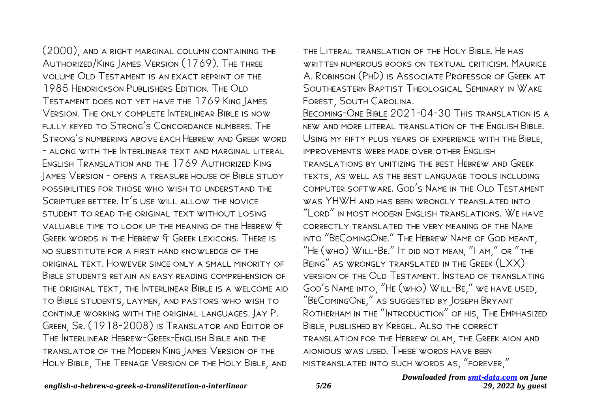(2000), and a right marginal column containing the Authorized/King James Version (1769). The three volume Old Testament is an exact reprint of the 1985 Hendrickson Publishers Edition. The Old Testament does not yet have the 1769 King James Version. The only complete Interlinear Bible is now fully keyed to Strong's Concordance numbers. The STRONG'S NUMBERING ABOVE FACH HEBREW AND GREEK WORD - along with the Interlinear text and marginal literal English Translation and the 1769 Authorized King James Version - opens a treasure house of Bible study possibilities for those who wish to understand the SCRIPTURE BETTER. IT'S USE WILL ALLOW THE NOVICE STUDENT TO READ THE ORIGINAL TEXT WITHOUT LOSING valuable time to look up the meaning of the Hebrew & Greek words in the Hebrew & Greek lexicons. There is no substitute for a first hand knowledge of the original text. However since only a small minority of BIBLE STUDENTS RETAIN AN EASY READING COMPREHENSION OF the original text, the Interlinear Bible is a welcome aid to Bible students, laymen, and pastors who wish to continue working with the original languages. Jay P. Green, Sr. (1918-2008) is Translator and Editor of The Interlinear Hebrew-Greek-English Bible and the translator of the Modern King James Version of the Holy Bible, The Teenage Version of the Holy Bible, and

the Literal translation of the Holy Bible. He has written numerous books on textual criticism. Maurice A. Robinson (PhD) is Associate Professor of Greek at Southeastern Baptist Theological Seminary in Wake Forest, South Carolina.

Becoming-One Bible 2021-04-30 This translation is a new and more literal translation of the English Bible. Using my fifty plus years of experience with the Bible, improvements were made over other English translations by unitizing the best Hebrew and Greek texts, as well as the best language tools including computer software. God's Name in the Old Testament was YHWH and has been wrongly translated into "Lord" in most modern English translations. We have correctly translated the very meaning of the Name into "BeComingOne." The Hebrew Name of God meant, "He (who) Will-Be." It did not mean, "I am," or "the Being" as wrongly translated in the Greek (LXX) version of the Old Testament. Instead of translating God's Name into, "He (who) Will-Be," we have used, "BeComingOne," as suggested by Joseph Bryant Rotherham in the "Introduction" of his, The Emphasized Bible, published by Kregel. Also the correct translation for the Hebrew olam, the Greek aion and aionious was used. These words have been mistranslated into such words as, "forever,"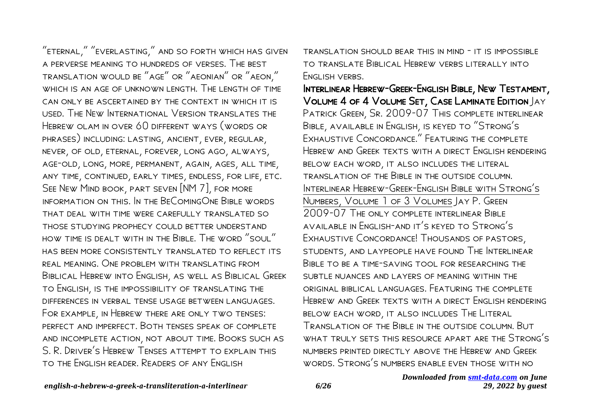"eternal," "everlasting," and so forth which has given a perverse meaning to hundreds of verses. The best translation would be "age" or "aeonian" or "aeon," WHICH IS AN AGE OF UNKNOWN LENGTH. THE LENGTH OF TIME can only be ascertained by the context in which it is used. The New International Version translates the Hebrew olam in over 60 different ways (words or phrases) including: lasting, ancient, ever, regular, never, of old, eternal, forever, long ago, always, age-old, long, more, permanent, again, ages, all time, any time, continued, early times, endless, for life, etc. See New Mind book, part seven [NM 7], for more information on this. In the BeComingOne Bible words that deal with time were carefully translated so those studying prophecy could better understand how time is dealt with in the Bible. The word "soul" has been more consistently translated to reflect its real meaning. One problem with translating from Biblical Hebrew into English, as well as Biblical Greek to English, is the impossibility of translating the differences in verbal tense usage between languages. For example, in Hebrew there are only two tenses: perfect and imperfect. Both tenses speak of complete and incomplete action, not about time. Books such as S. R. Driver's Hebrew Tenses attempt to explain this to the English reader. Readers of any English

translation should bear this in mind - it is impossible to translate Biblical Hebrew verbs literally into FNGLISH VERBS.

Interlinear Hebrew-Greek-English Bible, New Testament, Volume 4 of 4 Volume Set, Case Laminate Edition Jay Patrick Green, Sr. 2009-07 This complete interlinear Bible, available in English, is keyed to "Strong's Exhaustive Concordance." Featuring the complete HEBREW AND GREEK TEXTS WITH A DIRECT ENGLISH RENDERING below each word, it also includes the literal translation of the Bible in the outside column. Interlinear Hebrew-Greek-English Bible with Strong's Numbers, Volume 1 of 3 Volumes Jay P. Green 2009-07 The only complete interlinear Bible available in English-and it's keyed to Strong's Exhaustive Concordance! Thousands of pastors, students, and laypeople have found The Interlinear Bible to be a time-saving tool for researching the subtle nuances and layers of meaning within the original biblical languages. Featuring the complete Hebrew and Greek texts with a direct English rendering below each word, it also includes The Literal Translation of the Bible in the outside column. But what truly sets this resource apart are the Strong's numbers printed directly above the Hebrew and Greek words. Strong's numbers enable even those with no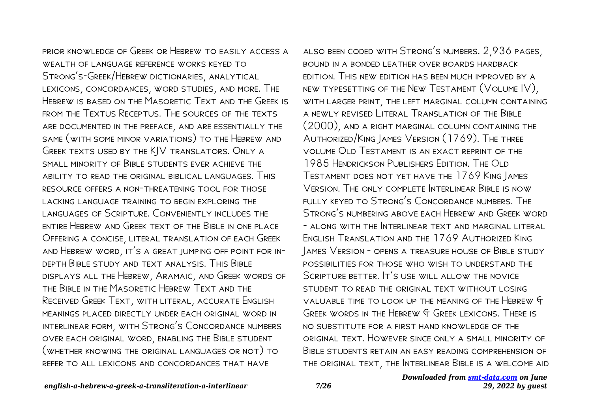prior knowledge of Greek or Hebrew to easily access a WEALTH OF LANGUAGE REFERENCE WORKS KEYED TO Strong's-Greek/Hebrew dictionaries, analytical lexicons, concordances, word studies, and more. The Hebrew is based on the Masoretic Text and the Greek is from the Textus Receptus. The sources of the texts are documented in the preface, and are essentially the same (with some minor variations) to the Hebrew and Greek texts used by the KJV translators. Only a small minority of Bible students ever achieve the ability to read the original biblical languages. This resource offers a non-threatening tool for those lacking language training to begin exploring the languages of Scripture. Conveniently includes the entire Hebrew and Greek text of the Bible in one place Offering a concise, literal translation of each Greek and Hebrew word, it's a great jumping off point for indepth Bible study and text analysis. This Bible displays all the Hebrew, Aramaic, and Greek words of the Bible in the Masoretic Hebrew Text and the Received Greek Text, with literal, accurate English meanings placed directly under each original word in interlinear form, with Strong's Concordance numbers over each original word, enabling the Bible student (whether knowing the original languages or not) to refer to all lexicons and concordances that have

also been coded with Strong's numbers. 2,936 pages, bound in a bonded leather over boards hardback edition. This new edition has been much improved by a new typesetting of the New Testament (Volume IV), with larger print, the left marginal column containing a newly revised Literal Translation of the Bible (2000), and a right marginal column containing the Authorized/King James Version (1769). The three volume Old Testament is an exact reprint of the 1985 Hendrickson Publishers Edition. The Old Testament does not yet have the 1769 King James Version. The only complete Interlinear Bible is now fully keyed to Strong's Concordance numbers. The Strong's numbering above each Hebrew and Greek word - along with the Interlinear text and marginal literal English Translation and the 1769 Authorized King James Version - opens a treasure house of Bible study possibilities for those who wish to understand the SCRIPTURE BETTER. IT'S USE WILL ALLOW THE NOVICE STUDENT TO READ THE ORIGINAL TEXT WITHOUT LOSING valuable time to look up the meaning of the Hebrew & Greek words in the Hebrew & Greek lexicons. There is no substitute for a first hand knowledge of the original text. However since only a small minority of Bible students retain an easy reading comprehension of the original text, the Interlinear Bible is a welcome aid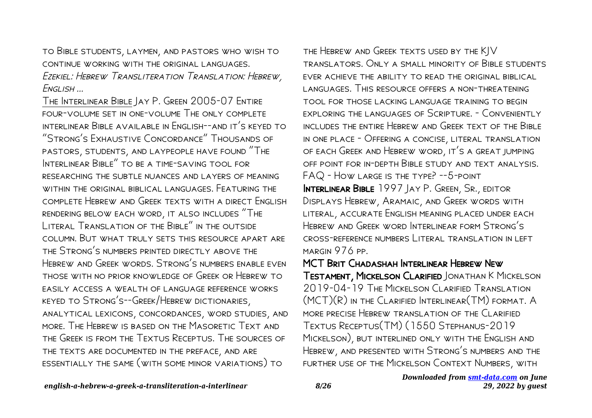to Bible students, laymen, and pastors who wish to continue working with the original languages. Ezekiel: Hebrew Transliteration Translation: Hebrew, English ...

The Interlinear Bible Jay P. Green 2005-07 Entire four-volume set in one-volume The only complete interlinear Bible available in English--and it's keyed to "Strong's Exhaustive Concordance" Thousands of pastors, students, and laypeople have found "The Interlinear Bible" to be a time-saving tool for researching the subtle nuances and layers of meaning within the original biblical languages. Featuring the complete Hebrew and Greek texts with a direct English rendering below each word, it also includes "The LITERAL TRANSLATION OF THE BIBLE" IN THE OUTSIDE column. But what truly sets this resource apart are the Strong's numbers printed directly above the Hebrew and Greek words. Strong's numbers enable even those with no prior knowledge of Greek or Hebrew to easily access a wealth of language reference works keyed to Strong's--Greek/Hebrew dictionaries, analytical lexicons, concordances, word studies, and more. The Hebrew is based on the Masoretic Text and the Greek is from the Textus Receptus. The sources of the texts are documented in the preface, and are essentially the same (with some minor variations) to

the Hebrew and Greek texts used by the KJV translators. Only a small minority of Bible students ever achieve the ability to read the original biblical languages. This resource offers a non-threatening tool for those lacking language training to begin exploring the languages of Scripture. - Conveniently includes the entire Hebrew and Greek text of the Bible in one place - Offering a concise, literal translation of each Greek and Hebrew word, it's a great jumping off point for in-depth Bible study and text analysis. FAQ - How large is the type? --5-point INTERLINEAR BIBLE 1997 JAY P. GREEN, SR., EDITOR Displays Hebrew, Aramaic, and Greek words with literal, accurate English meaning placed under each Hebrew and Greek word Interlinear form Strong's cross-reference numbers Literal translation in left margin 976 pp.

MCT Brit Chadashah Interlinear Hebrew New Testament, Mickelson Clarified Jonathan K Mickelson 2019-04-19 The Mickelson Clarified Translation (MCT)(R) in the Clarified Interlinear(TM) format. A more precise Hebrew translation of the Clarified Textus Receptus(TM) (1550 Stephanus-2019 Mickelson), but interlined only with the English and Hebrew, and presented with Strong's numbers and the further use of the Mickelson Context Numbers, with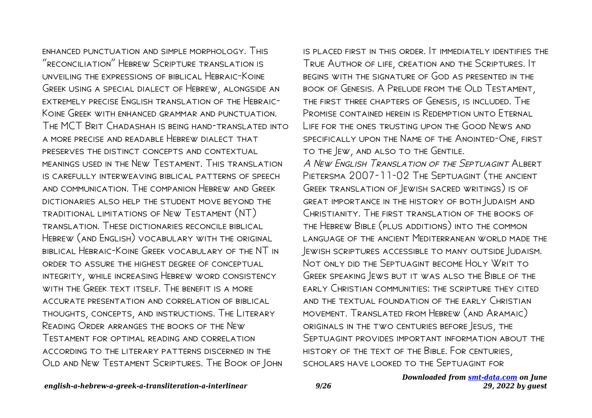enhanced punctuation and simple morphology. This "reconciliation" Hebrew Scripture translation is unveiling the expressions of biblical Hebraic-Koine Greek using a special dialect of Hebrew, alongside an extremely precise English translation of the Hebraic-Koine Greek with enhanced grammar and punctuation. The MCT Brit Chadashah is being hand-translated into a more precise and readable Hebrew dialect that preserves the distinct concepts and contextual meanings used in the New Testament. This translation is carefully interweaving biblical patterns of speech and communication. The companion Hebrew and Greek dictionaries also help the student move beyond the traditional limitations of New Testament (NT) translation. These dictionaries reconcile biblical Hebrew (and English) vocabulary with the original biblical Hebraic-Koine Greek vocabulary of the NT in order to assure the highest degree of conceptual integrity, while increasing Hebrew word consistency WITH THE GREEK TEXT ITSELF THE BENEFIT IS A MORE accurate presentation and correlation of biblical thoughts, concepts, and instructions. The Literary Reading Order arranges the books of the New Testament for optimal reading and correlation according to the literary patterns discerned in the Old and New Testament Scriptures. The Book of John

is placed first in this order. It immediately identifies the True Author of life, creation and the Scriptures. It begins with the signature of God as presented in the book of Genesis. A Prelude from the Old Testament, the first three chapters of Genesis, is included. The Promise contained herein is Redemption unto Eternal Life for the ones trusting upon the Good News and specifically upon the Name of the Anointed-One, first to the Jew, and also to the Gentile. A New English Translation of the Septuagint Albert Pietersma 2007-11-02 The Septuagint (the ancient Greek translation of Jewish sacred writings) is of great importance in the history of both Judaism and Christianity. The first translation of the books of the Hebrew Bible (plus additions) into the common language of the ancient Mediterranean world made the Jewish scriptures accessible to many outside Judaism. Not only did the Septuagint become Holy Writ to Greek speaking Jews but it was also the Bible of the early Christian communities: the scripture they cited and the textual foundation of the early Christian movement. Translated from Hebrew (and Aramaic) originals in the two centuries before Jesus, the Septuagint provides important information about the history of the text of the Bible. For centuries, scholars have looked to the Septuagint for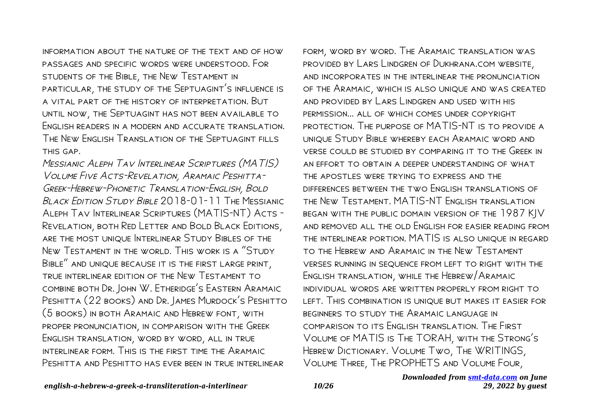information about the nature of the text and of how passages and specific words were understood. For students of the Bible, the New Testament in particular, the study of the Septuagint's influence is a vital part of the history of interpretation. But until now, the Septuagint has not been available to English readers in a modern and accurate translation. The New English Translation of the Septuagint fills this gap.

Messianic Aleph Tav Interlinear Scriptures (MATIS) Volume Five Acts-Revelation, Aramaic Peshitta-Greek-Hebrew-Phonetic Translation-English, Bold BLACK EDITION STUDY BIBLE 2018-01-11 THE MESSIANIC Aleph Tav Interlinear Scriptures (MATIS-NT) Acts - Revelation, both Red Letter and Bold Black Editions, are the most unique Interlinear Study Bibles of the New Testament in the world. This work is a "Study Bible" and unique because it is the first large print, true interlinear edition of the New Testament to combine both Dr. John W. Etheridge's Eastern Aramaic PESHITTA (22 BOOKS) AND DR. JAMES MURDOCK'S PESHITTO (5 books) in both Aramaic and Hebrew font, with proper pronunciation, in comparison with the Greek English translation, word by word, all in true interlinear form. This is the first time the Aramaic Peshitta and Peshitto has ever been in true interlinear

form, word by word. The Aramaic translation was provided by Lars Lindgren of Dukhrana.com website, and incorporates in the interlinear the pronunciation of the Aramaic, which is also unique and was created and provided by Lars Lindgren and used with his permission... all of which comes under copyright protection. The purpose of MATIS-NT is to provide a unique Study Bible whereby each Aramaic word and verse could be studied by comparing it to the Greek in an effort to obtain a deeper understanding of what the apostles were trying to express and the differences between the two English translations of the New Testament. MATIS-NT English translation began with the public domain version of the 1987 KJV and removed all the old English for easier reading from the interlinear portion. MATIS is also unique in regard to the Hebrew and Aramaic in the New Testament verses running in sequence from left to right with the English translation, while the Hebrew/Aramaic individual words are written properly from right to left. This combination is unique but makes it easier for beginners to study the Aramaic language in comparison to its English translation. The First Volume of MATIS is The TORAH, with the Strong's Hebrew Dictionary. Volume Two, The WRITINGS, Volume Three, The PROPHETS and Volume Four,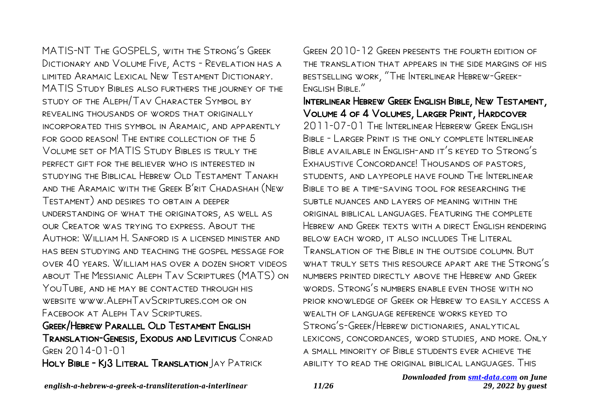MATIS-NT The GOSPELS, with the Strong's Greek Dictionary and Volume Five, Acts - Revelation has a limited Aramaic Lexical New Testament Dictionary. MATIS Study Bibles also furthers the journey of the study of the Aleph/Tav Character Symbol by revealing thousands of words that originally incorporated this symbol in Aramaic, and apparently for good reason! The entire collection of the 5 Volume set of MATIS Study Bibles is truly the perfect gift for the believer who is interested in STUDYING THE BIBLICAL HEBREW OLD TESTAMENT TANAKH and the Aramaic with the Greek B'rit Chadashah (New Testament) and desires to obtain a deeper understanding of what the originators, as well as our Creator was trying to express. About the Author: William H. Sanford is a licensed minister and has been studying and teaching the gospel message for over 40 years. William has over a dozen short videos about The Messianic Aleph Tav Scriptures (MATS) on YOUTUBE, AND HE MAY BE CONTACTED THROUGH HIS website www.AlephTavScriptures.com or on Facebook at Aleph Tav Scriptures.

## Greek/Hebrew Parallel Old Testament English Translation-Genesis, Exodus and Leviticus Conrad Gren 2014-01-01

HOLY BIBLE - KJ3 LITERAL TRANSLATION JAY PATRICK

Green 2010-12 Green presents the fourth edition of the translation that appears in the side margins of his bestselling work, "The Interlinear Hebrew-Greek-English Bible."

Interlinear Hebrew Greek English Bible, New Testament, Volume 4 of 4 Volumes, Larger Print, Hardcover 2011-07-01 The Interlinear Hebrerw Greek English Bible - Larger Print is the only complete Interlinear Bible available in English-and it's keyed to Strong's Exhaustive Concordance! Thousands of pastors, students, and laypeople have found The Interlinear Bible to be a time-saving tool for researching the subtle nuances and layers of meaning within the original biblical languages. Featuring the complete Hebrew and Greek texts with a direct English rendering below each word, it also includes The Literal Translation of the Bible in the outside column. But what truly sets this resource apart are the Strong's numbers printed directly above the Hebrew and Greek words. Strong's numbers enable even those with no prior knowledge of Greek or Hebrew to easily access a wealth of language reference works keyed to Strong's-Greek/Hebrew dictionaries, analytical lexicons, concordances, word studies, and more. Only a small minority of Bible students ever achieve the ability to read the original biblical languages. This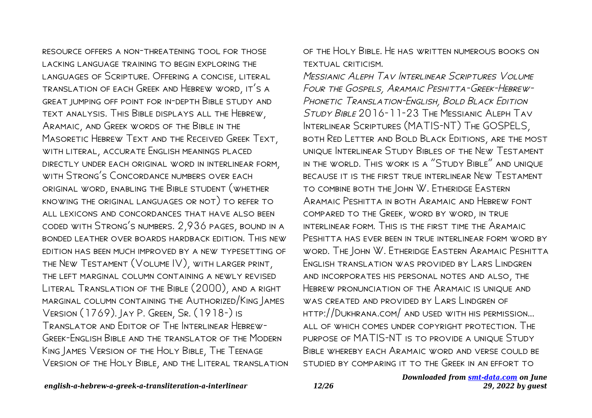resource offers a non-threatening tool for those lacking language training to begin exploring the languages of Scripture. Offering a concise, literal translation of each Greek and Hebrew word, it's a great jumping off point for in-depth Bible study and text analysis. This Bible displays all the Hebrew, Aramaic, and Greek words of the Bible in the Masoretic Hebrew Text and the Received Greek Text, with literal, accurate English meanings placed directly under each original word in interlinear form, WITH STRONG'S CONCORDANCE NUMBERS OVER FACH original word, enabling the Bible student (whether knowing the original languages or not) to refer to all lexicons and concordances that have also been coded with Strong's numbers. 2,936 pages, bound in a bonded leather over boards hardback edition. This new edition has been much improved by a new typesetting of the New Testament (Volume IV), with larger print, the left marginal column containing a newly revised Literal Translation of the Bible (2000), and a right marginal column containing the Authorized/King James Version (1769). Jay P. Green, Sr. (1918-) is Translator and Editor of The Interlinear Hebrew-GREEK-ENGLISH BIBLE AND THE TRANSLATOR OF THE MODERN King James Version of the Holy Bible, The Teenage Version of the Holy Bible, and the Literal translation of the Holy Bible. He has written numerous books on textual criticism.

Messianic Aleph Tav Interlinear Scriptures Volume Four the Gospels, Aramaic Peshitta-Greek-Hebrew-PHONETIC TRANSLATION-ENGLISH, BOLD BLACK EDITION Study Bible 2016-11-23 The Messianic Aleph Tav Interlinear Scriptures (MATIS-NT) The GOSPELS, both Red Letter and Bold Black Editions, are the most unique Interlinear Study Bibles of the New Testament in the world. This work is a "Study Bible" and unique because it is the first true interlinear New Testament to combine both the John W. Etheridge Eastern Aramaic Peshitta in both Aramaic and Hebrew font compared to the Greek, word by word, in true interlinear form. This is the first time the Aramaic Peshitta has ever been in true interlinear form word by word. The John W. Etheridge Eastern Aramaic Peshitta English translation was provided by Lars Lindgren and incorporates his personal notes and also, the Hebrew pronunciation of the Aramaic is unique and WAS CREATED AND PROVIDED BY LARS LINDGREN OF http://Dukhrana.com/ and used with his permission... all of which comes under copyright protection. The purpose of MATIS-NT is to provide a unique Study Bible whereby each Aramaic word and verse could be studied by comparing it to the Greek in an effort to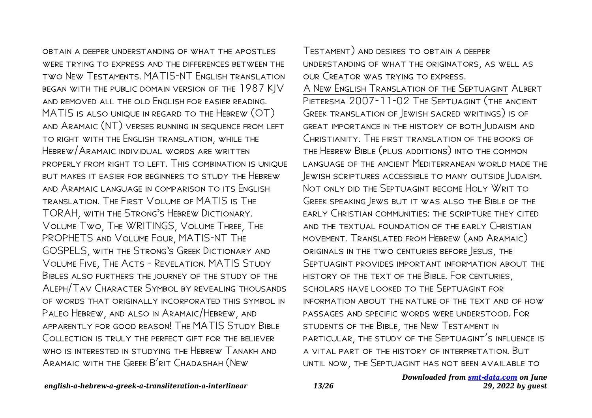obtain a deeper understanding of what the apostles were trying to express and the differences between the two New Testaments. MATIS-NT English translation began with the public domain version of the 1987 KJV and removed all the old English for easier reading. MATIS is also unique in regard to the Hebrew (OT) and Aramaic (NT) verses running in sequence from left to right with the English translation, while the Hebrew/Aramaic individual words are written properly from right to left. This combination is unique but makes it easier for beginners to study the Hebrew and Aramaic language in comparison to its English translation. The First Volume of MATIS is The TORAH, with the Strong's Hebrew Dictionary. Volume Two, The WRITINGS, Volume Three, The PROPHETS and Volume Four, MATIS-NT The GOSPELS, with the Strong's Greek Dictionary and Volume Five, The Acts - Revelation. MATIS Study Bibles also furthers the journey of the study of the Aleph/Tav Character Symbol by revealing thousands of words that originally incorporated this symbol in Paleo Hebrew, and also in Aramaic/Hebrew, and apparently for good reason! The MATIS Study Bible Collection is truly the perfect gift for the believer WHO IS INTERESTED IN STUDYING THE HEBREW TANAKH AND Aramaic with the Greek B'rit Chadashah (New

Testament) and desires to obtain a deeper understanding of what the originators, as well as our Creator was trying to express. A New English Translation of the Septuagint Albert Pietersma 2007-11-02 The Septuagint (the ancient Greek translation of Jewish sacred writings) is of great importance in the history of both Judaism and Christianity. The first translation of the books of the Hebrew Bible (plus additions) into the common language of the ancient Mediterranean world made the Jewish scriptures accessible to many outside Judaism. Not only did the Septuagint become Holy Writ to Greek speaking Jews but it was also the Bible of the early Christian communities: the scripture they cited and the textual foundation of the early Christian movement. Translated from Hebrew (and Aramaic) originals in the two centuries before Jesus, the Septuagint provides important information about the history of the text of the Bible. For centuries, scholars have looked to the Septuagint for information about the nature of the text and of how passages and specific words were understood. For students of the Bible, the New Testament in particular, the study of the Septuagint's influence is a vital part of the history of interpretation. But until now, the Septuagint has not been available to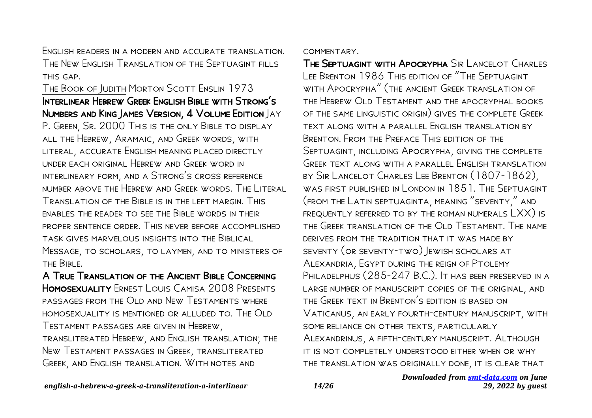English readers in a modern and accurate translation. The New English Translation of the Septuagint fills this gap.

### The Book of Judith Morton Scott Enslin 1973 Interlinear Hebrew Greek English Bible with Strong's Numbers and King James Version, 4 Volume Edition Jay

P. Green, Sr. 2000 This is the only Bible to display all the Hebrew, Aramaic, and Greek words, with literal, accurate English meaning placed directly under each original Hebrew and Greek word in interlineary form, and a Strong's cross reference number above the Hebrew and Greek words. The Literal Translation of the Bible is in the left margin. This enables the reader to see the Bible words in their proper sentence order. This never before accomplished task gives marvelous insights into the Biblical Message, to scholars, to laymen, and to ministers of the Bible.

A True Translation of the Ancient Bible Concerning Homosexuality Ernest Louis Camisa 2008 Presents passages from the Old and New Testaments where homosexuality is mentioned or alluded to. The Old Testament passages are given in Hebrew, transliterated Hebrew, and English translation; the New Testament passages in Greek, transliterated Greek, and English translation. With notes and

#### commentary.

The Septuagint with Apocrypha Sir Lancelot Charles Lee Brenton 1986 This edition of "The Septuagint with Apocrypha" (the ancient Greek translation of the Hebrew Old Testament and the apocryphal books of the same linguistic origin) gives the complete Greek text along with a parallel English translation by Brenton. From the Preface This edition of the Septuagint, including Apocrypha, giving the complete GREEK TEXT ALONG WITH A PARALLEL ENGLISH TRANSLATION by Sir Lancelot Charles Lee Brenton (1807-1862), WAS FIRST PUBLISHED IN LONDON IN 1851. THE SEPTUAGINT (from the Latin septuaginta, meaning "seventy," and frequently referred to by the roman numerals LXX) is the Greek translation of the Old Testament. The name DERIVES FROM THE TRADITION THAT IT WAS MADE BY seventy (or seventy-two) Jewish scholars at Alexandria, Egypt during the reign of Ptolemy PHILADELPHUS (285-247 B.C.). IT HAS BEEN PRESERVED IN A large number of manuscript copies of the original, and the Greek text in Brenton's edition is based on Vaticanus, an early fourth-century manuscript, with some reliance on other texts, particularly Alexandrinus, a fifth-century manuscript. Although it is not completely understood either when or why the translation was originally done, it is clear that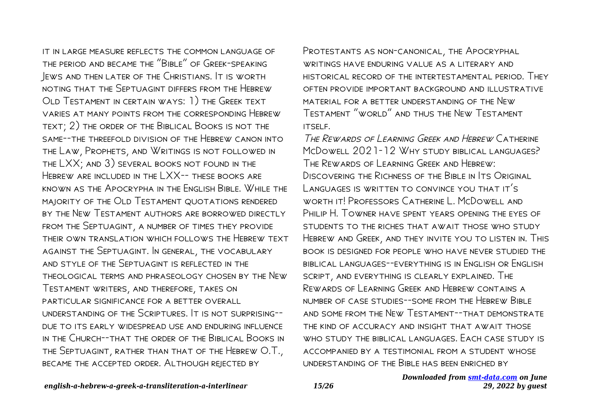it in large measure reflects the common language of the period and became the "Bible" of Greek-speaking Jews and then later of the Christians. It is worth noting that the Septuagint differs from the Hebrew Old Testament in certain ways: 1) the Greek text varies at many points from the corresponding Hebrew text; 2) the order of the Biblical Books is not the same--the threefold division of the Hebrew canon into the Law, Prophets, and Writings is not followed in the LXX; and 3) several books not found in the Hebrew are included in the LXX-- these books are known as the Apocrypha in the English Bible. While the majority of the Old Testament quotations rendered by the New Testament authors are borrowed directly from the Septuagint, a number of times they provide their own translation which follows the Hebrew text against the Septuagint. In general, the vocabulary and style of the Septuagint is reflected in the theological terms and phraseology chosen by the New Testament writers, and therefore, takes on particular significance for a better overall understanding of the Scriptures. It is not surprising- due to its early widespread use and enduring influence in the Church--that the order of the Biblical Books in the Septuagint, rather than that of the Hebrew O.T., became the accepted order. Although rejected by

PROTESTANTS AS NON-CANONICAL, THE APOCRYPHAL WRITINGS HAVE ENDURING VALUE AS A LITERARY AND historical record of the intertestamental period. They often provide important background and illustrative material for a better understanding of the New Testament "world" and thus the New Testament itself.

The Rewards of Learning Greek and Hebrew Catherine McDowell 2021-12 WHY STUDY BIBLICAL LANGUAGES? The Rewards of Learning Greek and Hebrew: Discovering the Richness of the Bible in Its Original Languages is written to convince you that it's worth it! Professors Catherine L. McDowell and PHILIP H. TOWNER HAVE SPENT YEARS OPENING THE EYES OF students to the riches that await those who study Hebrew and Greek, and they invite you to listen in. This book is designed for people who have never studied the biblical languages--everything is in English or English script, and everything is clearly explained. The Rewards of Learning Greek and Hebrew contains a number of case studies--some from the Hebrew Bible and some from the New Testament--that demonstrate the kind of accuracy and insight that await those WHO STUDY THE BIBLICAL LANGUAGES. FACH CASE STUDY IS accompanied by a testimonial from a student whose understanding of the Bible has been enriched by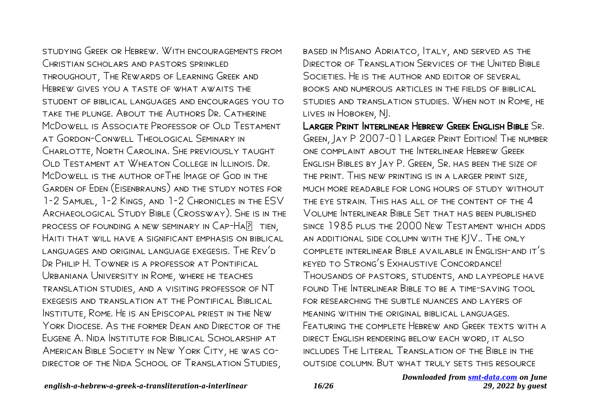studying Greek or Hebrew. With encouragements from CHRISTIAN SCHOLARS AND PASTORS SPRINKLED throughout, The Rewards of Learning Greek and HEBREW GIVES YOU A TASTE OF WHAT AWAITS THE student of biblical languages and encourages you to take the plunge. About the Authors Dr. Catherine McDowell is Associate Professor of OLD Testament at Gordon-Conwell Theological Seminary in Charlotte, North Carolina. She previously taught Old Testament at Wheaton College in Illinois. Dr. McDowell is the author ofThe Image of God in the Garden of Eden (Eisenbrauns) and the study notes for 1-2 Samuel, 1-2 Kings, and 1-2 Chronicles in the ESV Archaeological Study Bible (Crossway). She is in the PROCESS OF FOUNDING A NEW SEMINARY IN  $CAP-HA$ <sup>[2]</sup> TIEN, Haiti that will have a significant emphasis on biblical languages and original language exegesis. The Rev'd Dr Philip H. Towner is a professor at Pontifical Urbaniana University in Rome, where he teaches translation studies, and a visiting professor of NT exegesis and translation at the Pontifical Biblical Institute, Rome. He is an Episcopal priest in the New York Diocese. As the former Dean and Director of the Eugene A. Nida Institute for Biblical Scholarship at American Bible Society in New York City, he was codirector of the Nida School of Translation Studies,

based in Misano Adriatco, Italy, and served as the DIRECTOR OF TRANSLATION SERVICES OF THE UNITED BIBLE Societies. He is the author and editor of several books and numerous articles in the fields of biblical studies and translation studies. When not in Rome, he lives in Hoboken, NJ.

LARGER PRINT INTERLINEAR HEBREW GREEK ENGLISH BIBLE SR. Green, Jay P 2007-01 Larger Print Edition! The number one complaint about the Interlinear Hebrew Greek English Bibles by Jay P. Green, Sr. has been the size of the print. This new printing is in a larger print size, much more readable for long hours of study without the eye strain. This has all of the content of the 4 Volume Interlinear Bible Set that has been published since 1985 plus the 2000 New Testament which adds an additional side column with the KJV.. The only complete interlinear Bible available in English-and it's keyed to Strong's Exhaustive Concordance! Thousands of pastors, students, and laypeople have found The Interlinear Bible to be a time-saving tool for researching the subtle nuances and layers of meaning within the original biblical languages. FEATURING THE COMPLETE HEBREW AND GREEK TEXTS WITH A direct English rendering below each word, it also includes The Literal Translation of the Bible in the outside column. But what truly sets this resource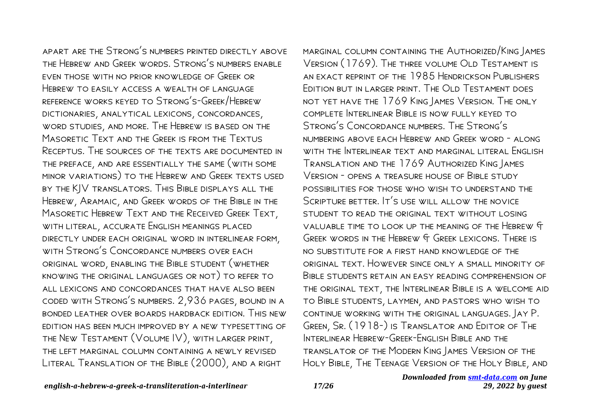apart are the Strong's numbers printed directly above the Hebrew and Greek words. Strong's numbers enable even those with no prior knowledge of Greek or HEBREW TO EASILY ACCESS A WEALTH OF LANGUAGE reference works keyed to Strong's-Greek/Hebrew dictionaries, analytical lexicons, concordances, word studies, and more. The Hebrew is based on the Masoretic Text and the Greek is from the Textus Receptus. The sources of the texts are documented in the preface, and are essentially the same (with some minor variations) to the Hebrew and Greek texts used by the KJV translators. This Bible displays all the Hebrew, Aramaic, and Greek words of the Bible in the Masoretic Hebrew Text and the Received Greek Text, with literal, accurate English meanings placed directly under each original word in interlinear form, with Strong's Concordance numbers over each original word, enabling the Bible student (whether knowing the original languages or not) to refer to all lexicons and concordances that have also been coded with Strong's numbers. 2,936 pages, bound in a bonded leather over boards hardback edition. This new edition has been much improved by a new typesetting of the New Testament (Volume IV), with larger print, the left marginal column containing a newly revised Literal Translation of the Bible (2000), and a right

marginal column containing the Authorized/King James Version (1769). The three volume Old Testament is an exact reprint of the 1985 Hendrickson Publishers Edition but in larger print. The Old Testament does not yet have the 1769 King James Version. The only complete Interlinear Bible is now fully keyed to Strong's Concordance numbers. The Strong's numbering above each Hebrew and Greek word - along WITH THE INTERLINEAR TEXT AND MARGINAL LITERAL FNGLISH Translation and the 1769 Authorized King James Version - opens a treasure house of Bible study possibilities for those who wish to understand the SCRIPTURE BETTER. IT'S USE WILL ALLOW THE NOVICE STUDENT TO READ THE ORIGINAL TEXT WITHOUT LOSING valuable time to look up the meaning of the Hebrew & Greek words in the Hebrew & Greek lexicons. There is no substitute for a first hand knowledge of the original text. However since only a small minority of Bible students retain an easy reading comprehension of the original text, the Interlinear Bible is a welcome aid to Bible students, laymen, and pastors who wish to continue working with the original languages. Jay P. Green, Sr. (1918-) is Translator and Editor of The INTERLINEAR HEBREW-GREEK-ENGLISH BIBLE AND THE translator of the Modern King James Version of the Holy Bible, The Teenage Version of the Holy Bible, and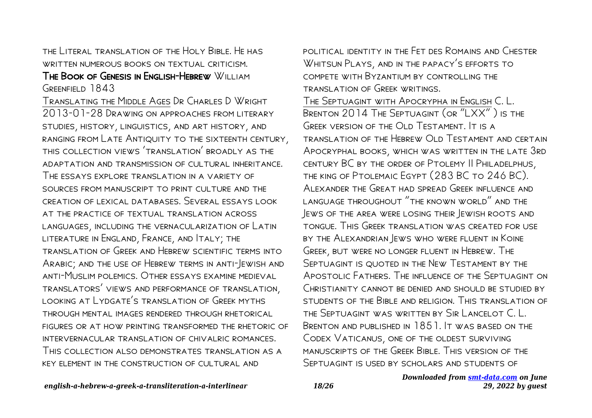the Literal translation of the Holy Bible. He has WRITTEN NUMEROUS BOOKS ON TEXTUAL CRITICISM.

#### The Book of Genesis in English-Hebrew William GREENFIELD 1843

Translating the Middle Ages Dr Charles D Wright 2013-01-28 Drawing on approaches from literary studies, history, linguistics, and art history, and ranging from Late Antiquity to the sixteenth century, this collection views 'translation' broadly as the adaptation and transmission of cultural inheritance. The essays explore translation in a variety of SOURCES FROM MANUSCRIPT TO PRINT CULTURE AND THE creation of lexical databases. Several essays look at the practice of textual translation across languages, including the vernacularization of Latin literature in England, France, and Italy; the translation of Greek and Hebrew scientific terms into Arabic; and the use of Hebrew terms in anti-Jewish and anti-Muslim polemics. Other essays examine medieval translators' views and performance of translation, looking at Lydgate's translation of Greek myths through mental images rendered through rhetorical figures or at how printing transformed the rhetoric of INTERVERNACULAR TRANSLATION OF CHIVALRIC ROMANCES. This collection also demonstrates translation as a key element in the construction of cultural and

political identity in the Fet des Romains and Chester WHITSUN PLAYS, AND IN THE PAPACY'S EFFORTS TO compete with Byzantium by controlling the translation of Greek writings.

The Septuagint with Apocrypha in English C. L. Brenton 2014 The Septuagint (or "LXX" ) is the GREEK VERSION OF THE OLD TESTAMENT. IT IS A translation of the Hebrew Old Testament and certain Apocryphal books, which was written in the late 3rd century BC by the order of Ptolemy II Philadelphus, the king of Ptolemaic Egypt (283 BC to 246 BC). Alexander the Great had spread Greek influence and language throughout "the known world" and the Jews of the area were losing their Jewish roots and tongue. This Greek translation was created for use by the Alexandrian Jews who were fluent in Koine Greek, but were no longer fluent in Hebrew. The Septuagint is quoted in the New Testament by the Apostolic Fathers. The influence of the Septuagint on Christianity cannot be denied and should be studied by students of the Bible and religion. This translation of the Septuagint was written by Sir Lancelot C. L. Brenton and published in 1851. It was based on the CODEX VATICANUS, ONE OF THE OLDEST SURVIVING manuscripts of the Greek Bible. This version of the Septuagint is used by scholars and students of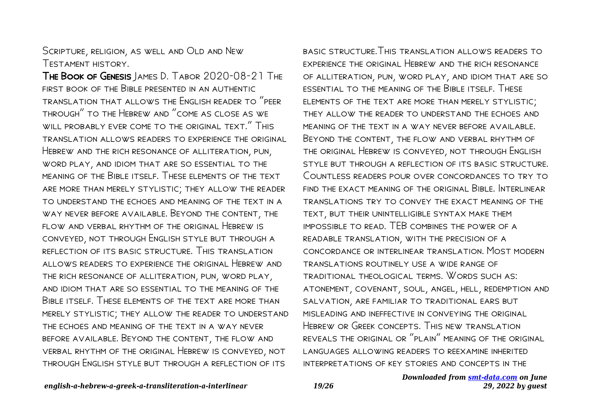Scripture, religion, as well and Old and New Testament history.

The Book of Genesis James D. Tabor 2020-08-21 The first book of the Bible presented in an authentic translation that allows the English reader to "peer through" to the Hebrew and "come as close as we will probably ever come to the original text." This translation allows readers to experience the original Hebrew and the rich resonance of alliteration, pun, word play, and idiom that are so essential to the meaning of the Bible itself. These elements of the text are more than merely stylistic; they allow the reader to understand the echoes and meaning of the text in a way never before available. Beyond the content, the flow and verbal rhythm of the original Hebrew is conveyed, not through English style but through a reflection of its basic structure. This translation allows readers to experience the original Hebrew and the rich resonance of alliteration, pun, word play, and idiom that are so essential to the meaning of the Bible itself. These elements of the text are more than merely stylistic; they allow the reader to understand the echoes and meaning of the text in a way never before available. Beyond the content, the flow and verbal rhythm of the original Hebrew is conveyed, not through English style but through a reflection of its

basic structure.This translation allows readers to experience the original Hebrew and the rich resonance of alliteration, pun, word play, and idiom that are so essential to the meaning of the Bible itself. These elements of the text are more than merely stylistic; they allow the reader to understand the echoes and meaning of the text in a way never before available. Beyond the content, the flow and verbal rhythm of the original Hebrew is conveyed, not through English style but through a reflection of its basic structure. Countless readers pour over concordances to try to FIND THE EXACT MEANING OF THE ORIGINAL BIBLE. INTERLINEAR translations try to convey the exact meaning of the text, but their unintelligible syntax make them impossible to read. TEB combines the power of a readable translation, with the precision of a concordance or interlinear translation. Most modern translations routinely use a wide range of traditional theological terms. Words such as: atonement, covenant, soul, angel, hell, redemption and salvation, are familiar to traditional ears but misleading and ineffective in conveying the original Hebrew or Greek concepts. This new translation reveals the original or "plain" meaning of the original languages allowing readers to reexamine inherited interpretations of key stories and concepts in the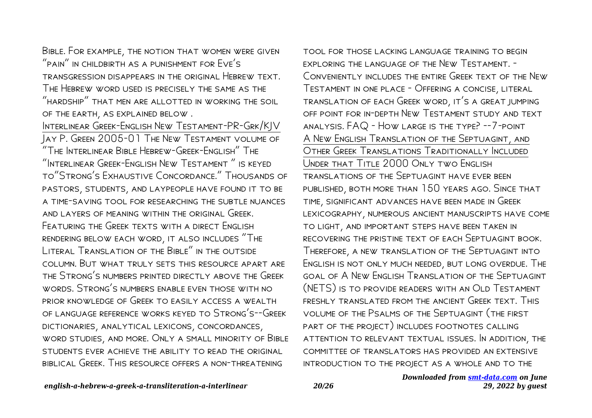Bible. For example, the notion that women were given "pain" in childbirth as a punishment for Eve's transgression disappears in the original Hebrew text. The Hebrew word used is precisely the same as the "hardship" that men are allotted in working the soil of the earth, as explained below .

Interlinear Greek-English New Testament-PR-Grk/KJV Jay P. Green 2005-01 The New Testament volume of "The Interlinear Bible Hebrew-Greek-English" The "Interlinear Greek-English New Testament " is keyed to"Strong's Exhaustive Concordance." Thousands of pastors, students, and laypeople have found it to be a time-saving tool for researching the subtle nuances and layers of meaning within the original Greek. FEATURING THE GREEK TEXTS WITH A DIRECT ENGLISH rendering below each word, it also includes "The LITERAL TRANSLATION OF THE BIBLE" IN THE OUTSIDE column. But what truly sets this resource apart are the Strong's numbers printed directly above the Greek words. Strong's numbers enable even those with no prior knowledge of Greek to easily access a wealth of language reference works keyed to Strong's--Greek dictionaries, analytical lexicons, concordances, word studies, and more. Only a small minority of Bible students ever achieve the ability to read the original biblical Greek. This resource offers a non-threatening

tool for those lacking language training to begin exploring the language of the New Testament. - Conveniently includes the entire Greek text of the New Testament in one place - Offering a concise, literal translation of each Greek word, it's a great jumping off point for in-depth New Testament study and text analysis. FAQ - How large is the type? --7-point A New English Translation of the Septuagint, and Other Greek Translations Traditionally Included Under that Title 2000 Only two English translations of the Septuagint have ever been published, both more than 150 years ago. Since that time, significant advances have been made in Greek lexicography, numerous ancient manuscripts have come to light, and important steps have been taken in recovering the pristine text of each Septuagint book. Therefore, a new translation of the Septuagint into English is not only much needed, but long overdue. The goal of A New English Translation of the Septuagint (NETS) is to provide readers with an Old Testament freshly translated from the ancient Greek text. This volume of the Psalms of the Septuagint (the first part of the project) includes footnotes calling attention to relevant textual issues. In addition, the committee of translators has provided an extensive introduction to the project as a whole and to the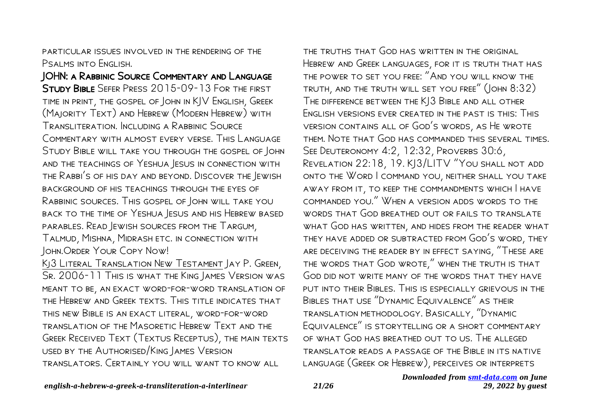particular issues involved in the rendering of the Psalms into Fngl ISH.

JOHN: a Rabbinic Source Commentary and Language Study Bible Sefer Press 2015-09-13 For the first time in print, the gospel of John in KJV English, Greek (Majority Text) and Hebrew (Modern Hebrew) with Transliteration. Including a Rabbinic Source Commentary with almost every verse. This Language Study Bible will take you through the gospel of John and the teachings of Yeshua Jesus in connection with the Rabbi's of his day and beyond. Discover the Jewish background of his teachings through the eyes of Rabbinic sources. This gospel of John will take you back to the time of Yeshua Jesus and his Hebrew based parables. Read Jewish sources from the Targum, Talmud, Mishna, Midrash etc. in connection with John.Order Your Copy Now!

Kj3 Literal Translation New Testament Jay P. Green, SR. 2006-11 This is what the King James Version was meant to be, an exact word-for-word translation of the Hebrew and Greek texts. This title indicates that this new Bible is an exact literal, word-for-word translation of the Masoretic Hebrew Text and the Greek Received Text (Textus Receptus), the main texts used by the Authorised/King James Version translators. Certainly you will want to know all

the truths that God has written in the original Hebrew and Greek languages, for it is truth that has the power to set you free: "And you will know the truth, and the truth will set you free" (John 8:32) The difference between the KJ3 Bible and all other English versions ever created in the past is this: This version contains all of God's words, as He wrote them. Note that God has commanded this several times. See Deuteronomy 4:2, 12:32, Proverbs 30:6, Revelation 22:18, 19. KJ3/LITV "You shall not add onto the Word I command you, neither shall you take away from it, to keep the commandments which I have commanded you." When a version adds words to the WORDS THAT GOD BREATHED OUT OR FAILS TO TRANSLATE WHAT GOD HAS WRITTEN, AND HIDES FROM THE READER WHAT they have added or subtracted from God's word, they are deceiving the reader by in effect saying, "These are the words that God wrote," when the truth is that God did not write many of the words that they have put into their Bibles. This is especially grievous in the Bibles that use "Dynamic Equivalence" as their translation methodology. Basically, "Dynamic Equivalence" is storytelling or a short commentary of what God has breathed out to us. The alleged translator reads a passage of the Bible in its native language (Greek or Hebrew), perceives or interprets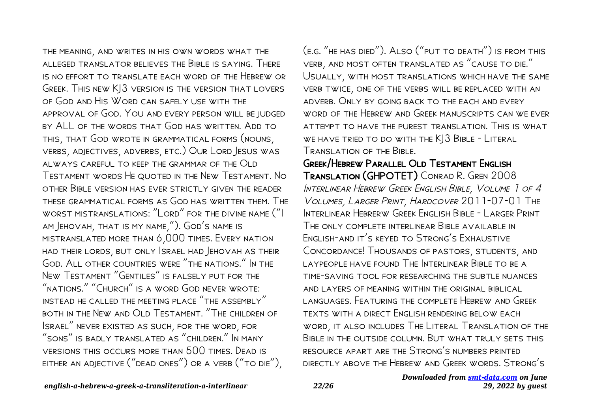the meaning, and writes in his own words what the alleged translator believes the Bible is saying. There is no effort to translate each word of the Hebrew or Greek. This new KJ3 version is the version that lovers of God and His Word can safely use with the approval of God. You and every person will be judged by ALL of the words that God has written. Add to this, that God wrote in grammatical forms (nouns, verbs, adjectives, adverbs, etc.) Our Lord Jesus was always careful to keep the grammar of the Old Testament words He quoted in the New Testament. No other Bible version has ever strictly given the reader these grammatical forms as God has written them. The worst mistranslations: "Lord" for the divine name ("I am Jehovah, that is my name,"). God's name is mistranslated more than 6,000 times. Every nation had their lords, but only Israel had Jehovah as their God. All other countries were "the nations." In the New Testament "Gentiles" is falsely put for the "nations." "Church" is a word God never wrote: instead he called the meeting place "the assembly" both in the New and Old Testament. "The children of Israel" never existed as such, for the word, for "sons" is badly translated as "children." In many versions this occurs more than 500 times. Dead is either an adjective ("dead ones") or a verb ("to die"),

(e.g. "he has died"). Also ("put to death") is from this verb, and most often translated as "cause to die." Usually, with most translations which have the same verb twice, one of the verbs will be replaced with an adverb. Only by going back to the each and every word of the Hebrew and Greek manuscripts can we ever attempt to have the purest translation. This is what WE HAVE TRIED TO DO WITH THE KJ3 BIBLE - LITERAL Translation of the Bible.

Greek/Hebrew Parallel Old Testament English Translation (GHPOTET) Conrad R. Gren 2008 Interlinear Hebrew Greek English Bible, Volume 1 of 4 Volumes, Larger Print, Hardcover 2011-07-01 The Interlinear Hebrerw Greek English Bible - Larger Print The only complete interlinear Bible available in English-and it's keyed to Strong's Exhaustive Concordance! Thousands of pastors, students, and laypeople have found The Interlinear Bible to be a time-saving tool for researching the subtle nuances and layers of meaning within the original biblical languages. Featuring the complete Hebrew and Greek texts with a direct English rendering below each word, it also includes The Literal Translation of the Bible in the outside column. But what truly sets this resource apart are the Strong's numbers printed directly above the Hebrew and Greek words. Strong's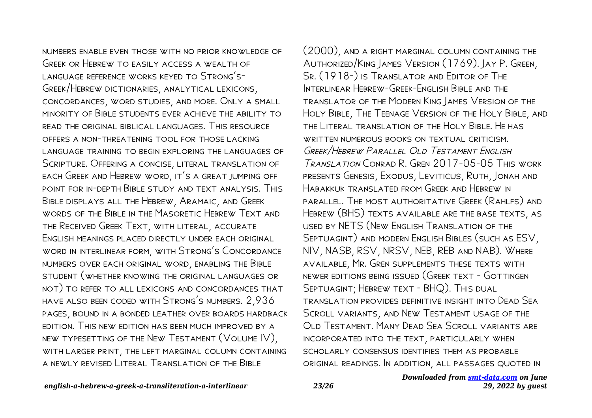numbers enable even those with no prior knowledge of Greek or Hebrew to easily access a wealth of language reference works keyed to Strong's-Greek/Hebrew dictionaries, analytical lexicons, concordances, word studies, and more. Only a small minority of Bible students ever achieve the ability to read the original biblical languages. This resource offers a non-threatening tool for those lacking LANGUAGE TRAINING TO BEGIN EXPLORING THE I ANGUAGES OF Scripture. Offering a concise, literal translation of each Greek and Hebrew word, it's a great jumping off point for in-depth Bible study and text analysis. This Bible displays all the Hebrew, Aramaic, and Greek words of the Bible in the Masoretic Hebrew Text and the Received Greek Text, with literal, accurate English meanings placed directly under each original word in interlinear form, with Strong's Concordance numbers over each original word, enabling the Bible student (whether knowing the original languages or not) to refer to all lexicons and concordances that have also been coded with Strong's numbers. 2,936 pages, bound in a bonded leather over boards hardback edition. This new edition has been much improved by a new typesetting of the New Testament (Volume IV), with larger print, the left marginal column containing a newly revised Literal Translation of the Bible

(2000), and a right marginal column containing the Authorized/King James Version (1769). Jay P. Green, Sr. (1918-) is Translator and Editor of The INTERLINEAR HEBREW-GREEK-FNGLISH BIBLE AND THE translator of the Modern King James Version of the Holy Bible, The Teenage Version of the Holy Bible, and the Literal translation of the Holy Bible. He has WRITTEN NUMEROUS BOOKS ON TEXTUAL CRITICISM. Greek/Hebrew Parallel Old Testament English Translation Conrad R. Gren 2017-05-05 This work presents Genesis, Exodus, Leviticus, Ruth, Jonah and Habakkuk translated from Greek and Hebrew in parallel. The most authoritative Greek (Rahlfs) and Hebrew (BHS) texts available are the base texts, as used by NETS (New English Translation of the Septuagint) and modern English Bibles (such as ESV, NIV, NASB, RSV, NRSV, NEB, REB and NAB). Where available, Mr. Gren supplements these texts with newer editions being issued (Greek text - Gottingen SEPTUAGINT; HEBREW TEXT - BHQ). THIS DUAL translation provides definitive insight into Dead Sea Scroll variants, and New Testament usage of the OLD TESTAMENT. MANY DEAD SEA SCROLL VARIANTS ARE incorporated into the text, particularly when scholarly consensus identifies them as probable original readings. In addition, all passages quoted in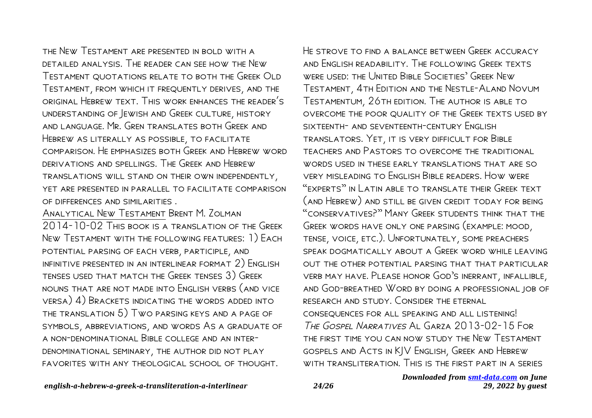the New Testament are presented in bold with a detailed analysis. The reader can see how the New Testament quotations relate to both the Greek Old Testament, from which it frequently derives, and the original Hebrew text. This work enhances the reader's understanding of Jewish and Greek culture, history and language. Mr. Gren translates both Greek and Hebrew as literally as possible, to facilitate comparison. He emphasizes both Greek and Hebrew word DERIVATIONS AND SPELLINGS. THE GREEK AND HERREW translations will stand on their own independently, yet are presented in parallel to facilitate comparison of differences and similarities .

Analytical New Testament Brent M. Zolman 2014-10-02 This book is a translation of the Greek New Testament with the following features: 1) Each potential parsing of each verb, participle, and infinitive presented in an interlinear format 2) English tenses used that match the Greek tenses 3) Greek nouns that are not made into English verbs (and vice versa) 4) Brackets indicating the words added into the translation 5) Two parsing keys and a page of symbols, abbreviations, and words As a graduate of a non-denominational Bible college and an interdenominational seminary, the author did not play favorites with any theological school of thought.

HE STROVE TO FIND A BALANCE BETWEEN GREEK ACCURACY and English readability. The following Greek texts were used: the United Bible Societies' Greek New Testament, 4th Edition and the Nestle-Aland Novum Testamentum, 26th edition. The author is able to overcome the poor quality of the Greek texts used by sixteenth- and seventeenth-century English translators. Yet, it is very difficult for Bible teachers and Pastors to overcome the traditional words used in these early translations that are so very misleading to English Bible readers. How were "experts" in Latin able to translate their Greek text (and Hebrew) and still be given credit today for being "conservatives?" Many Greek students think that the Greek words have only one parsing (example: mood, tense, voice, etc.). Unfortunately, some preachers speak dogmatically about a Greek word while leaving out the other potential parsing that that particular verb may have. Please honor God's inerrant, infallible, and God-breathed Word by doing a professional job of research and study. Consider the eternal consequences for all speaking and all listening! The Gospel Narratives Al Garza 2013-02-15 For the first time you can now study the New Testament gospels and Acts in KJV English, Greek and Hebrew with transliteration. This is the first part in a series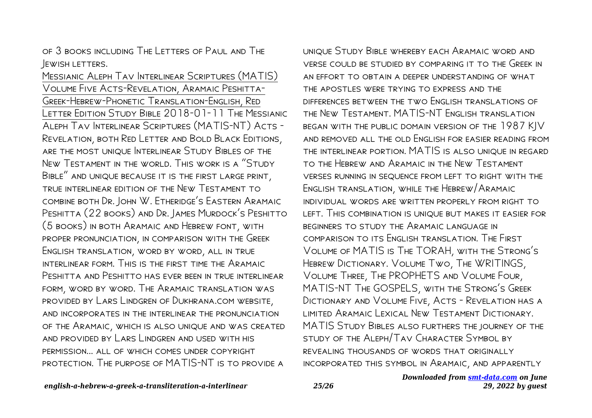of 3 books including The Letters of Paul and The **JEWISH LETTERS.** 

Messianic Aleph Tav Interlinear Scriptures (MATIS) Volume Five Acts-Revelation, Aramaic Peshitta-Greek-Hebrew-Phonetic Translation-English, Red LETTER EDITION STUDY BIBLE 2018-01-11 THE MESSIANIC Aleph Tav Interlinear Scriptures (MATIS-NT) Acts - Revelation, both Red Letter and Bold Black Editions, are the most unique Interlinear Study Bibles of the New Testament in the world. This work is a "Study Bible" and unique because it is the first large print, true interlinear edition of the New Testament to combine both Dr. John W. Etheridge's Eastern Aramaic PESHITTA (22 BOOKS) AND DR. JAMES MURDOCK'S PESHITTO (5 books) in both Aramaic and Hebrew font, with proper pronunciation, in comparison with the Greek English translation, word by word, all in true interlinear form. This is the first time the Aramaic Peshitta and Peshitto has ever been in true interlinear form, word by word. The Aramaic translation was provided by Lars Lindgren of Dukhrana.com website, and incorporates in the interlinear the pronunciation of the Aramaic, which is also unique and was created and provided by Lars Lindgren and used with his permission... all of which comes under copyright protection. The purpose of MATIS-NT is to provide a

unique Study Bible whereby each Aramaic word and verse could be studied by comparing it to the Greek in an effort to obtain a deeper understanding of what the apostles were trying to express and the differences between the two English translations of the New Testament. MATIS-NT English translation began with the public domain version of the 1987 KJV and removed all the old English for easier reading from the interlinear portion. MATIS is also unique in regard to the Hebrew and Aramaic in the New Testament verses running in sequence from left to right with the English translation, while the Hebrew/Aramaic individual words are written properly from right to left. This combination is unique but makes it easier for beginners to study the Aramaic language in comparison to its English translation. The First Volume of MATIS is The TORAH, with the Strong's Hebrew Dictionary. Volume Two, The WRITINGS, Volume Three, The PROPHETS and Volume Four, MATIS-NT The GOSPELS, with the Strong's Greek Dictionary and Volume Five, Acts - Revelation has a limited Aramaic Lexical New Testament Dictionary. MATIS Study Bibles also furthers the journey of the study of the Aleph/Tav Character Symbol by revealing thousands of words that originally incorporated this symbol in Aramaic, and apparently